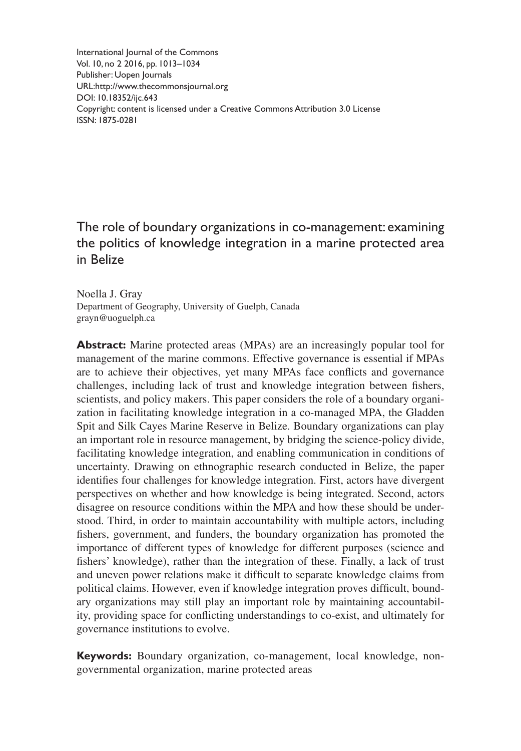International Journal of the Commons Vol. 10, no 2 2016, pp. 1013–1034 Publisher: Uopen Journals URL[:http://www.thecommonsjournal.org](http://www.thecommonsjournal.org) [DOI: 10.18352/ijc.643](http://doi.org/10.18352/ijc.643) Copyright: content is licensed under a Creative Commons Attribution 3.0 License ISSN: 1875-0281

# The role of boundary organizations in co-management: examining the politics of knowledge integration in a marine protected area in Belize

Noella J. Gray Department of Geography, University of Guelph, Canada [grayn@uoguelph.ca](mailto:grayn@uoguelph.ca)

**Abstract:** Marine protected areas (MPAs) are an increasingly popular tool for management of the marine commons. Effective governance is essential if MPAs are to achieve their objectives, yet many MPAs face conflicts and governance challenges, including lack of trust and knowledge integration between fishers, scientists, and policy makers. This paper considers the role of a boundary organization in facilitating knowledge integration in a co-managed MPA, the Gladden Spit and Silk Cayes Marine Reserve in Belize. Boundary organizations can play an important role in resource management, by bridging the science-policy divide, facilitating knowledge integration, and enabling communication in conditions of uncertainty. Drawing on ethnographic research conducted in Belize, the paper identifies four challenges for knowledge integration. First, actors have divergent perspectives on whether and how knowledge is being integrated. Second, actors disagree on resource conditions within the MPA and how these should be understood. Third, in order to maintain accountability with multiple actors, including fishers, government, and funders, the boundary organization has promoted the importance of different types of knowledge for different purposes (science and fishers' knowledge), rather than the integration of these. Finally, a lack of trust and uneven power relations make it difficult to separate knowledge claims from political claims. However, even if knowledge integration proves difficult, boundary organizations may still play an important role by maintaining accountability, providing space for conflicting understandings to co-exist, and ultimately for governance institutions to evolve.

**Keywords:** Boundary organization, co-management, local knowledge, nongovernmental organization, marine protected areas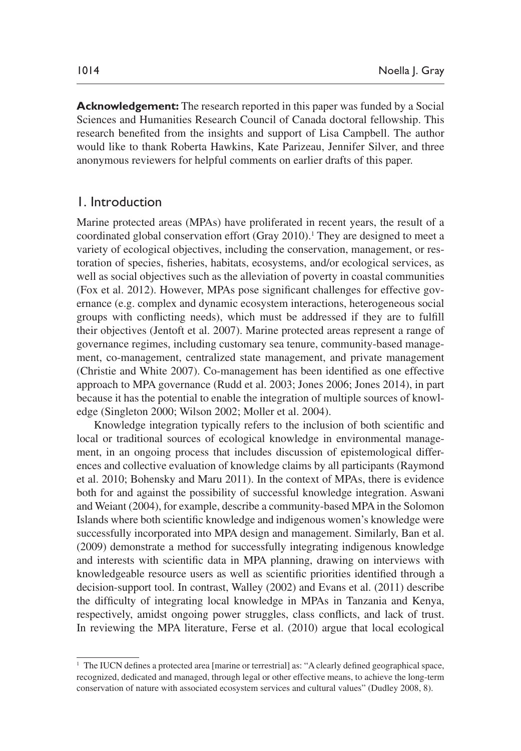**Acknowledgement:** The research reported in this paper was funded by a Social Sciences and Humanities Research Council of Canada doctoral fellowship. This research benefited from the insights and support of Lisa Campbell. The author would like to thank Roberta Hawkins, Kate Parizeau, Jennifer Silver, and three anonymous reviewers for helpful comments on earlier drafts of this paper.

## 1. Introduction

Marine protected areas (MPAs) have proliferated in recent years, the result of a coordinated global conservation effort [\(Gray 2010\)](#page-19-0).<sup>1</sup> They are designed to meet a variety of ecological objectives, including the conservation, management, or restoration of species, fisheries, habitats, ecosystems, and/or ecological services, as well as social objectives such as the alleviation of poverty in coastal communities [\(Fox et al. 2012\)](#page-18-0). However, MPAs pose significant challenges for effective governance (e.g. complex and dynamic ecosystem interactions, heterogeneous social groups with conflicting needs), which must be addressed if they are to fulfill their objectives [\(Jentoft et al. 2007](#page-19-1)). Marine protected areas represent a range of governance regimes, including customary sea tenure, community-based management, co-management, centralized state management, and private management [\(Christie and White 2007\)](#page-18-1). Co-management has been identified as one effective approach to MPA governance ([Rudd et al. 2003](#page-20-0); [Jones 2006;](#page-19-2) [Jones 2014](#page-19-3)), in part because it has the potential to enable the integration of multiple sources of knowledge ([Singleton 2000;](#page-20-1) [Wilson 2002;](#page-21-0) Moller et al. 2004).

Knowledge integration typically refers to the inclusion of both scientific and local or traditional sources of ecological knowledge in environmental management, in an ongoing process that includes discussion of epistemological differences and collective evaluation of knowledge claims by all participants ([Raymond](#page-20-2) [et al. 2010;](#page-20-2) [Bohensky and Maru 2011\)](#page-17-0). In the context of MPAs, there is evidence both for and against the possibility of successful knowledge integration. [Aswani](#page-17-1) [and Weiant \(2004\),](#page-17-1) for example, describe a community-based MPA in the Solomon Islands where both scientific knowledge and indigenous women's knowledge were successfully incorporated into MPA design and management. Similarly, [Ban et al.](#page-17-2) [\(2009](#page-17-2)) demonstrate a method for successfully integrating indigenous knowledge and interests with scientific data in MPA planning, drawing on interviews with knowledgeable resource users as well as scientific priorities identified through a decision-support tool. In contrast, [Walley \(2002\)](#page-20-3) and [Evans et al. \(2011\)](#page-18-2) describe the difficulty of integrating local knowledge in MPAs in Tanzania and Kenya, respectively, amidst ongoing power struggles, class conflicts, and lack of trust. In reviewing the MPA literature, Ferse et al. (2010) argue that local ecological

<sup>&</sup>lt;sup>1</sup> The IUCN defines a protected area [marine or terrestrial] as: "A clearly defined geographical space, recognized, dedicated and managed, through legal or other effective means, to achieve the long-term conservation of nature with associated ecosystem services and cultural values" [\(Dudley 2008, 8\)](#page-18-3).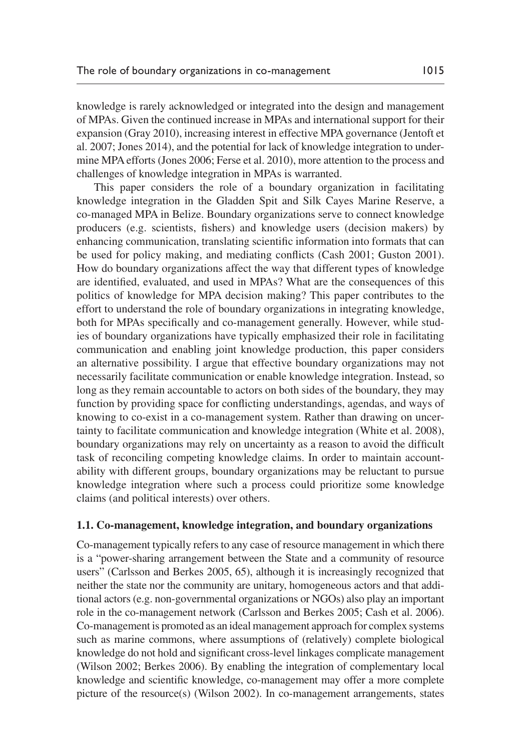knowledge is rarely acknowledged or integrated into the design and management of MPAs. Given the continued increase in MPAs and international support for their expansion ([Gray 2010](#page-19-0)), increasing interest in effective MPA governance [\(Jentoft et](#page-19-4)  [al. 2007;](#page-19-4) [Jones 2014](#page-19-3)), and the potential for lack of knowledge integration to undermine MPA efforts [\(Jones 2006](#page-19-2); Ferse et al. 2010), more attention to the process and challenges of knowledge integration in MPAs is warranted.

This paper considers the role of a boundary organization in facilitating knowledge integration in the Gladden Spit and Silk Cayes Marine Reserve, a co-managed MPA in Belize. Boundary organizations serve to connect knowledge producers (e.g. scientists, fishers) and knowledge users (decision makers) by enhancing communication, translating scientific information into formats that can be used for policy making, and mediating conflicts ([Cash 2001](#page-18-4); [Guston 2001\)](#page-19-5). How do boundary organizations affect the way that different types of knowledge are identified, evaluated, and used in MPAs? What are the consequences of this politics of knowledge for MPA decision making? This paper contributes to the effort to understand the role of boundary organizations in integrating knowledge, both for MPAs specifically and co-management generally. However, while studies of boundary organizations have typically emphasized their role in facilitating communication and enabling joint knowledge production, this paper considers an alternative possibility. I argue that effective boundary organizations may not necessarily facilitate communication or enable knowledge integration. Instead, so long as they remain accountable to actors on both sides of the boundary, they may function by providing space for conflicting understandings, agendas, and ways of knowing to co-exist in a co-management system. Rather than drawing on uncertainty to facilitate communication and knowledge integration ([White et al. 2008\)](#page-20-4), boundary organizations may rely on uncertainty as a reason to avoid the difficult task of reconciling competing knowledge claims. In order to maintain accountability with different groups, boundary organizations may be reluctant to pursue knowledge integration where such a process could prioritize some knowledge claims (and political interests) over others.

#### **1.1. Co-management, knowledge integration, and boundary organizations**

Co-management typically refers to any case of resource management in which there is a "power-sharing arrangement between the State and a community of resource users" [\(Carlsson and Berkes 2005, 65\)](#page-18-5), although it is increasingly recognized that neither the state nor the community are unitary, homogeneous actors and that additional actors (e.g. non-governmental organizations or NGOs) also play an important role in the co-management network [\(Carlsson and Berkes 2005](#page-18-5); [Cash et al. 2006](#page-18-6)). Co-management is promoted as an ideal management approach for complex systems such as marine commons, where assumptions of (relatively) complete biological knowledge do not hold and significant cross-level linkages complicate management [\(Wilson 2002](#page-21-0); [Berkes 2006\)](#page-17-3). By enabling the integration of complementary local knowledge and scientific knowledge, co-management may offer a more complete picture of the resource(s) [\(Wilson 2002](#page-21-0)). In co-management arrangements, states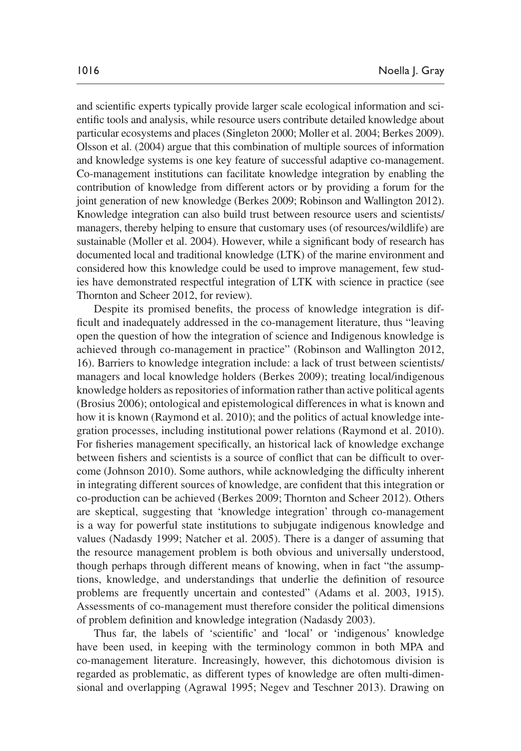and scientific experts typically provide larger scale ecological information and scientific tools and analysis, while resource users contribute detailed knowledge about particular ecosystems and places [\(Singleton 2000](#page-20-1); Moller et al. 2004; [Berkes 2009](#page-17-4)). [Olsson et al. \(2004\)](#page-20-5) argue that this combination of multiple sources of information and knowledge systems is one key feature of successful adaptive co-management. Co-management institutions can facilitate knowledge integration by enabling the contribution of knowledge from different actors or by providing a forum for the joint generation of new knowledge [\(Berkes 2009;](#page-17-4) [Robinson and Wallington 2012\)](#page-20-6). Knowledge integration can also build trust between resource users and scientists/ managers, thereby helping to ensure that customary uses (of resources/wildlife) are sustainable (Moller et al. 2004). However, while a significant body of research has documented local and traditional knowledge (LTK) of the marine environment and considered how this knowledge could be used to improve management, few studies have demonstrated respectful integration of LTK with science in practice (see [Thornton and Scheer 2012](#page-20-7), for review).

Despite its promised benefits, the process of knowledge integration is difficult and inadequately addressed in the co-management literature, thus "leaving open the question of how the integration of science and Indigenous knowledge is achieved through co-management in practice" [\(Robinson and Wallington 2012](#page-20-6), 16). Barriers to knowledge integration include: a lack of trust between scientists/ managers and local knowledge holders [\(Berkes 2009\)](#page-17-4); treating local/indigenous knowledge holders as repositories of information rather than active political agents [\(Brosius 2006\)](#page-17-5); ontological and epistemological differences in what is known and how it is known [\(Raymond et al. 2010](#page-20-2)); and the politics of actual knowledge integration processes, including institutional power relations ([Raymond et al. 2010\)](#page-20-2). For fisheries management specifically, an historical lack of knowledge exchange between fishers and scientists is a source of conflict that can be difficult to overcome ([Johnson 2010](#page-19-6)). Some authors, while acknowledging the difficulty inherent in integrating different sources of knowledge, are confident that this integration or co-production can be achieved [\(Berkes 2009;](#page-17-4) [Thornton and Scheer 2012](#page-20-7)). Others are skeptical, suggesting that 'knowledge integration' through co-management is a way for powerful state institutions to subjugate indigenous knowledge and values [\(Nadasdy 1999](#page-20-8); [Natcher et al. 2005](#page-20-9)). There is a danger of assuming that the resource management problem is both obvious and universally understood, though perhaps through different means of knowing, when in fact "the assumptions, knowledge, and understandings that underlie the definition of resource problems are frequently uncertain and contested" ([Adams et al. 2003, 1915\)](#page-17-6). Assessments of co-management must therefore consider the political dimensions of problem definition and knowledge integration ([Nadasdy 2003](#page-20-10)).

Thus far, the labels of 'scientific' and 'local' or 'indigenous' knowledge have been used, in keeping with the terminology common in both MPA and co-management literature. Increasingly, however, this dichotomous division is regarded as problematic, as different types of knowledge are often multi-dimensional and overlapping [\(Agrawal 1995](#page-17-7); [Negev and Teschner 2013](#page-20-11)). Drawing on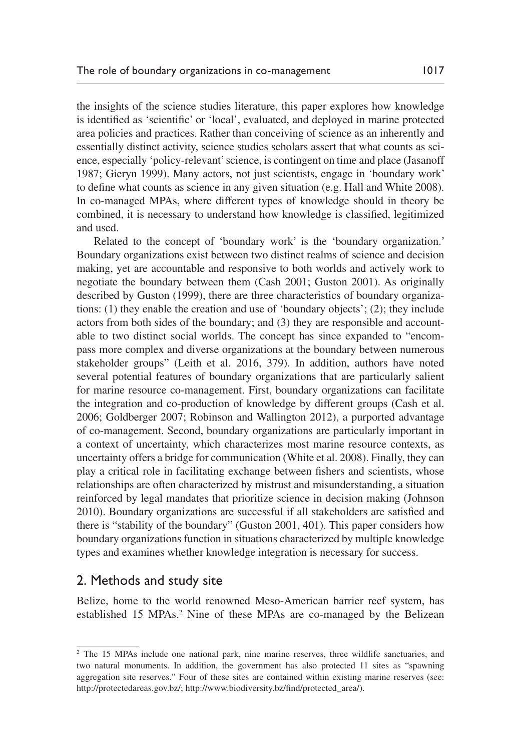the insights of the science studies literature, this paper explores how knowledge is identified as 'scientific' or 'local', evaluated, and deployed in marine protected area policies and practices. Rather than conceiving of science as an inherently and essentially distinct activity, science studies scholars assert that what counts as science, especially 'policy-relevant' science, is contingent on time and place ([Jasanoff](#page-19-7) [1987;](#page-19-7) [Gieryn 1999\)](#page-18-7). Many actors, not just scientists, engage in 'boundary work' to define what counts as science in any given situation (e.g. [Hall and White 2008\)](#page-19-8). In co-managed MPAs, where different types of knowledge should in theory be combined, it is necessary to understand how knowledge is classified, legitimized and used.

Related to the concept of 'boundary work' is the 'boundary organization.' Boundary organizations exist between two distinct realms of science and decision making, yet are accountable and responsive to both worlds and actively work to negotiate the boundary between them [\(Cash 2001](#page-18-4); [Guston 2001\)](#page-19-5). As originally described by [Guston \(1999\),](#page-19-9) there are three characteristics of boundary organizations: (1) they enable the creation and use of 'boundary objects'; (2); they include actors from both sides of the boundary; and (3) they are responsible and accountable to two distinct social worlds. The concept has since expanded to "encompass more complex and diverse organizations at the boundary between numerous stakeholder groups" ([Leith et al. 2016, 379](#page-20-12)). In addition, authors have noted several potential features of boundary organizations that are particularly salient for marine resource co-management. First, boundary organizations can facilitate the integration and co-production of knowledge by different groups ([Cash et al.](#page-18-6) [2006;](#page-18-6) [Goldberger 2007](#page-19-10); [Robinson and Wallington 2012](#page-20-6)), a purported advantage of co-management. Second, boundary organizations are particularly important in a context of uncertainty, which characterizes most marine resource contexts, as uncertainty offers a bridge for communication [\(White et al. 2008](#page-20-4)). Finally, they can play a critical role in facilitating exchange between fishers and scientists, whose relationships are often characterized by mistrust and misunderstanding, a situation reinforced by legal mandates that prioritize science in decision making ([Johnson](#page-19-6) [2010\)](#page-19-6). Boundary organizations are successful if all stakeholders are satisfied and there is "stability of the boundary" [\(Guston 2001, 401\)](#page-19-5). This paper considers how boundary organizations function in situations characterized by multiple knowledge types and examines whether knowledge integration is necessary for success.

## 2. Methods and study site

Belize, home to the world renowned Meso-American barrier reef system, has established 15 MPAs.<sup>2</sup> Nine of these MPAs are co-managed by the Belizean

<sup>&</sup>lt;sup>2</sup> The 15 MPAs include one national park, nine marine reserves, three wildlife sanctuaries, and two natural monuments. In addition, the government has also protected 11 sites as "spawning aggregation site reserves." Four of these sites are contained within existing marine reserves (see: [http://protectedareas.gov.bz/](http://protectedareas.gov.bz); [http://www.biodiversity.bz/find/protected\\_area](http://www.biodiversity.bz/find/protected_area)/).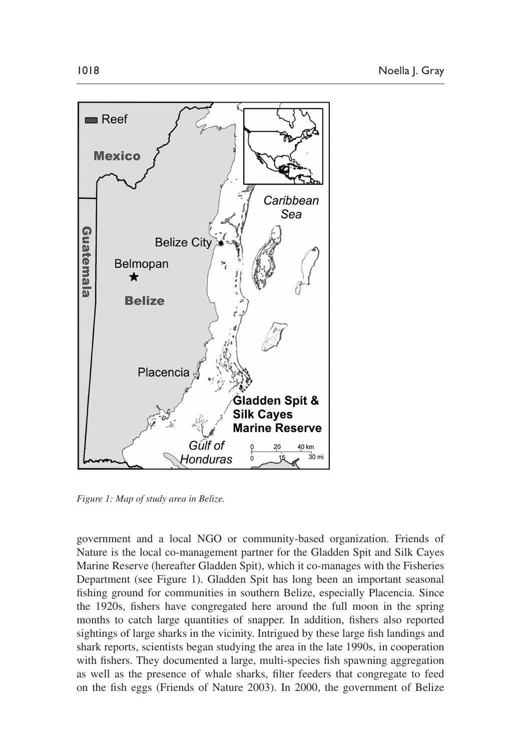

<span id="page-5-0"></span>*Figure 1: Map of study area in Belize.*

government and a local NGO or community-based organization. Friends of Nature is the local co-management partner for the Gladden Spit and Silk Cayes Marine Reserve (hereafter Gladden Spit), which it co-manages with the Fisheries Department (see [Figure 1\)](#page-5-0). Gladden Spit has long been an important seasonal fishing ground for communities in southern Belize, especially Placencia. Since the 1920s, fishers have congregated here around the full moon in the spring months to catch large quantities of snapper. In addition, fishers also reported sightings of large sharks in the vicinity. Intrigued by these large fish landings and shark reports, scientists began studying the area in the late 1990s, in cooperation with fishers. They documented a large, multi-species fish spawning aggregation as well as the presence of whale sharks, filter feeders that congregate to feed on the fish eggs [\(Friends of Nature 2003\)](#page-18-8). In 2000, the government of Belize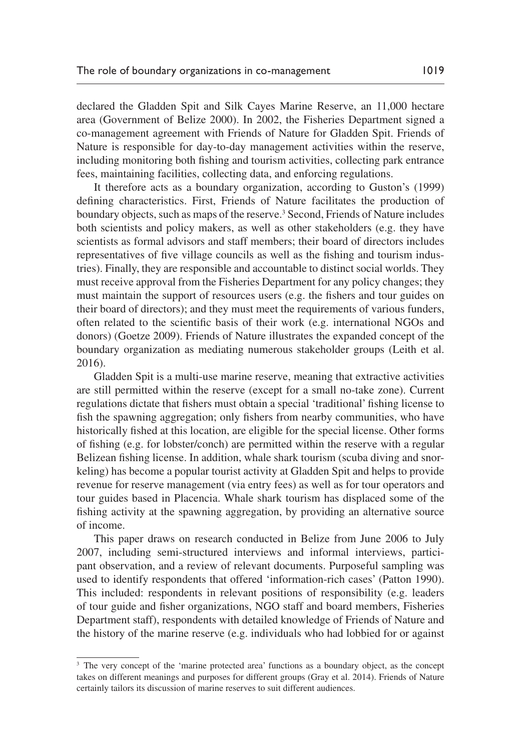declared the Gladden Spit and Silk Cayes Marine Reserve, an 11,000 hectare area [\(Government of Belize 2000](#page-19-11)). In 2002, the Fisheries Department signed a co-management agreement with Friends of Nature for Gladden Spit. Friends of Nature is responsible for day-to-day management activities within the reserve, including monitoring both fishing and tourism activities, collecting park entrance fees, maintaining facilities, collecting data, and enforcing regulations.

It therefore acts as a boundary organization, according to [Guston's \(1999\)](#page-19-9) defining characteristics. First, Friends of Nature facilitates the production of boundary objects, such as maps of the reserve.<sup>3</sup> Second, Friends of Nature includes both scientists and policy makers, as well as other stakeholders (e.g. they have scientists as formal advisors and staff members; their board of directors includes representatives of five village councils as well as the fishing and tourism industries). Finally, they are responsible and accountable to distinct social worlds. They must receive approval from the Fisheries Department for any policy changes; they must maintain the support of resources users (e.g. the fishers and tour guides on their board of directors); and they must meet the requirements of various funders, often related to the scientific basis of their work (e.g. international NGOs and donors) [\(Goetze 2009\)](#page-18-9). Friends of Nature illustrates the expanded concept of the boundary organization as mediating numerous stakeholder groups [\(Leith et al.](#page-20-12) [2016\)](#page-20-12).

Gladden Spit is a multi-use marine reserve, meaning that extractive activities are still permitted within the reserve (except for a small no-take zone). Current regulations dictate that fishers must obtain a special 'traditional' fishing license to fish the spawning aggregation; only fishers from nearby communities, who have historically fished at this location, are eligible for the special license. Other forms of fishing (e.g. for lobster/conch) are permitted within the reserve with a regular Belizean fishing license. In addition, whale shark tourism (scuba diving and snorkeling) has become a popular tourist activity at Gladden Spit and helps to provide revenue for reserve management (via entry fees) as well as for tour operators and tour guides based in Placencia. Whale shark tourism has displaced some of the fishing activity at the spawning aggregation, by providing an alternative source of income.

This paper draws on research conducted in Belize from June 2006 to July 2007, including semi-structured interviews and informal interviews, participant observation, and a review of relevant documents. Purposeful sampling was used to identify respondents that offered 'information-rich cases' ([Patton 1990\)](#page-20-13). This included: respondents in relevant positions of responsibility (e.g. leaders of tour guide and fisher organizations, NGO staff and board members, Fisheries Department staff), respondents with detailed knowledge of Friends of Nature and the history of the marine reserve (e.g. individuals who had lobbied for or against

<sup>&</sup>lt;sup>3</sup> The very concept of the 'marine protected area' functions as a boundary object, as the concept takes on different meanings and purposes for different groups ([Gray et al. 2014](#page-19-12)). Friends of Nature certainly tailors its discussion of marine reserves to suit different audiences.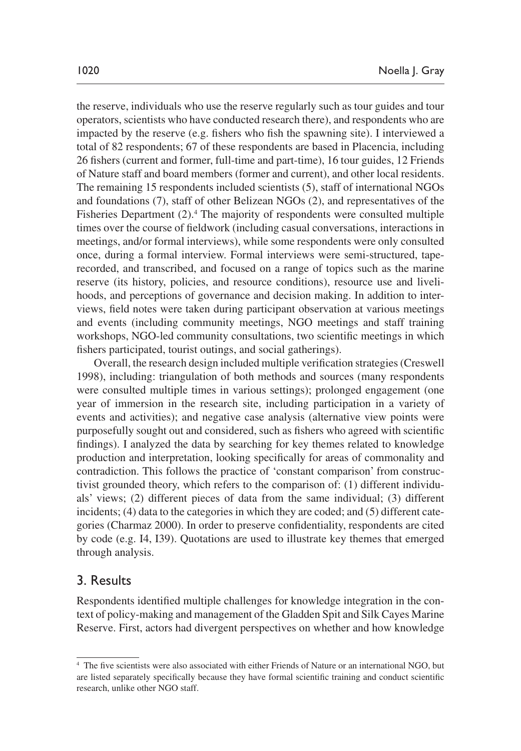the reserve, individuals who use the reserve regularly such as tour guides and tour operators, scientists who have conducted research there), and respondents who are impacted by the reserve (e.g. fishers who fish the spawning site). I interviewed a total of 82 respondents; 67 of these respondents are based in Placencia, including 26 fishers (current and former, full-time and part-time), 16 tour guides, 12 Friends of Nature staff and board members (former and current), and other local residents. The remaining 15 respondents included scientists (5), staff of international NGOs and foundations (7), staff of other Belizean NGOs (2), and representatives of the Fisheries Department (2).<sup>4</sup> The majority of respondents were consulted multiple times over the course of fieldwork (including casual conversations, interactions in meetings, and/or formal interviews), while some respondents were only consulted once, during a formal interview. Formal interviews were semi-structured, taperecorded, and transcribed, and focused on a range of topics such as the marine reserve (its history, policies, and resource conditions), resource use and livelihoods, and perceptions of governance and decision making. In addition to interviews, field notes were taken during participant observation at various meetings and events (including community meetings, NGO meetings and staff training workshops, NGO-led community consultations, two scientific meetings in which fishers participated, tourist outings, and social gatherings).

Overall, the research design included multiple verification strategies ([Creswell](#page-18-10) [1998\)](#page-18-10), including: triangulation of both methods and sources (many respondents were consulted multiple times in various settings); prolonged engagement (one year of immersion in the research site, including participation in a variety of events and activities); and negative case analysis (alternative view points were purposefully sought out and considered, such as fishers who agreed with scientific findings). I analyzed the data by searching for key themes related to knowledge production and interpretation, looking specifically for areas of commonality and contradiction. This follows the practice of 'constant comparison' from constructivist grounded theory, which refers to the comparison of: (1) different individuals' views; (2) different pieces of data from the same individual; (3) different incidents; (4) data to the categories in which they are coded; and (5) different categories ([Charmaz 2000\)](#page-18-11). In order to preserve confidentiality, respondents are cited by code (e.g. I4, I39). Quotations are used to illustrate key themes that emerged through analysis.

## 3. Results

Respondents identified multiple challenges for knowledge integration in the context of policy-making and management of the Gladden Spit and Silk Cayes Marine Reserve. First, actors had divergent perspectives on whether and how knowledge

<sup>4</sup> The five scientists were also associated with either Friends of Nature or an international NGO, but are listed separately specifically because they have formal scientific training and conduct scientific research, unlike other NGO staff.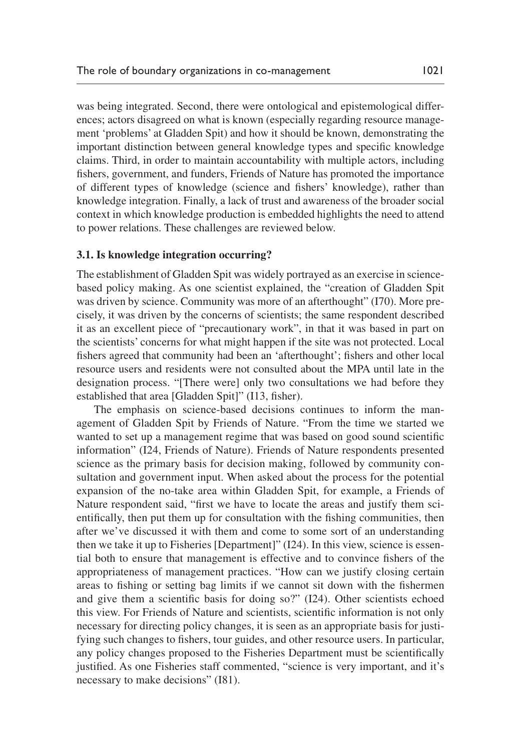was being integrated. Second, there were ontological and epistemological differences; actors disagreed on what is known (especially regarding resource management 'problems' at Gladden Spit) and how it should be known, demonstrating the important distinction between general knowledge types and specific knowledge claims. Third, in order to maintain accountability with multiple actors, including fishers, government, and funders, Friends of Nature has promoted the importance of different types of knowledge (science and fishers' knowledge), rather than knowledge integration. Finally, a lack of trust and awareness of the broader social context in which knowledge production is embedded highlights the need to attend to power relations. These challenges are reviewed below.

## **3.1. Is knowledge integration occurring?**

The establishment of Gladden Spit was widely portrayed as an exercise in sciencebased policy making. As one scientist explained, the "creation of Gladden Spit was driven by science. Community was more of an afterthought" (I70). More precisely, it was driven by the concerns of scientists; the same respondent described it as an excellent piece of "precautionary work", in that it was based in part on the scientists' concerns for what might happen if the site was not protected. Local fishers agreed that community had been an 'afterthought'; fishers and other local resource users and residents were not consulted about the MPA until late in the designation process. "[There were] only two consultations we had before they established that area [Gladden Spit]" (I13, fisher).

The emphasis on science-based decisions continues to inform the management of Gladden Spit by Friends of Nature. "From the time we started we wanted to set up a management regime that was based on good sound scientific information" (I24, Friends of Nature). Friends of Nature respondents presented science as the primary basis for decision making, followed by community consultation and government input. When asked about the process for the potential expansion of the no-take area within Gladden Spit, for example, a Friends of Nature respondent said, "first we have to locate the areas and justify them scientifically, then put them up for consultation with the fishing communities, then after we've discussed it with them and come to some sort of an understanding then we take it up to Fisheries [Department]" (I24). In this view, science is essential both to ensure that management is effective and to convince fishers of the appropriateness of management practices. "How can we justify closing certain areas to fishing or setting bag limits if we cannot sit down with the fishermen and give them a scientific basis for doing so?" (I24). Other scientists echoed this view. For Friends of Nature and scientists, scientific information is not only necessary for directing policy changes, it is seen as an appropriate basis for justifying such changes to fishers, tour guides, and other resource users. In particular, any policy changes proposed to the Fisheries Department must be scientifically justified. As one Fisheries staff commented, "science is very important, and it's necessary to make decisions" (I81).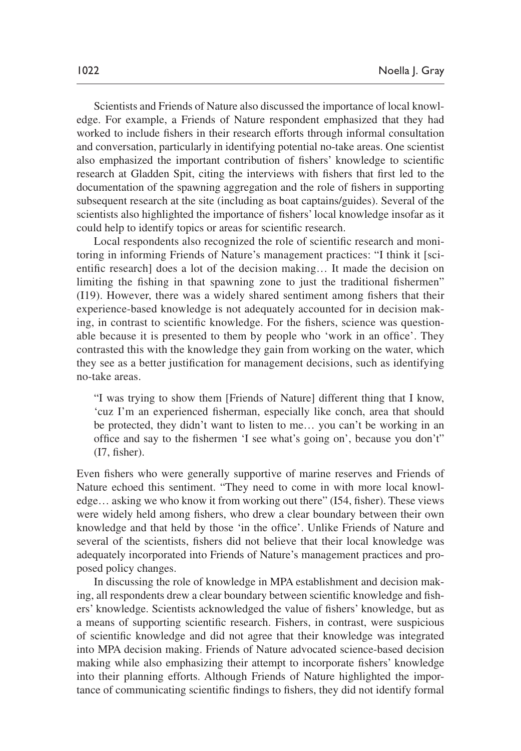Scientists and Friends of Nature also discussed the importance of local knowledge. For example, a Friends of Nature respondent emphasized that they had worked to include fishers in their research efforts through informal consultation and conversation, particularly in identifying potential no-take areas. One scientist also emphasized the important contribution of fishers' knowledge to scientific research at Gladden Spit, citing the interviews with fishers that first led to the documentation of the spawning aggregation and the role of fishers in supporting subsequent research at the site (including as boat captains/guides). Several of the scientists also highlighted the importance of fishers' local knowledge insofar as it could help to identify topics or areas for scientific research.

Local respondents also recognized the role of scientific research and monitoring in informing Friends of Nature's management practices: "I think it [scientific research] does a lot of the decision making… It made the decision on limiting the fishing in that spawning zone to just the traditional fishermen" (I19). However, there was a widely shared sentiment among fishers that their experience-based knowledge is not adequately accounted for in decision making, in contrast to scientific knowledge. For the fishers, science was questionable because it is presented to them by people who 'work in an office'. They contrasted this with the knowledge they gain from working on the water, which they see as a better justification for management decisions, such as identifying no-take areas.

"I was trying to show them [Friends of Nature] different thing that I know, 'cuz I'm an experienced fisherman, especially like conch, area that should be protected, they didn't want to listen to me… you can't be working in an office and say to the fishermen 'I see what's going on', because you don't" (I7, fisher).

Even fishers who were generally supportive of marine reserves and Friends of Nature echoed this sentiment. "They need to come in with more local knowledge… asking we who know it from working out there" (I54, fisher). These views were widely held among fishers, who drew a clear boundary between their own knowledge and that held by those 'in the office'. Unlike Friends of Nature and several of the scientists, fishers did not believe that their local knowledge was adequately incorporated into Friends of Nature's management practices and proposed policy changes.

In discussing the role of knowledge in MPA establishment and decision making, all respondents drew a clear boundary between scientific knowledge and fishers' knowledge. Scientists acknowledged the value of fishers' knowledge, but as a means of supporting scientific research. Fishers, in contrast, were suspicious of scientific knowledge and did not agree that their knowledge was integrated into MPA decision making. Friends of Nature advocated science-based decision making while also emphasizing their attempt to incorporate fishers' knowledge into their planning efforts. Although Friends of Nature highlighted the importance of communicating scientific findings to fishers, they did not identify formal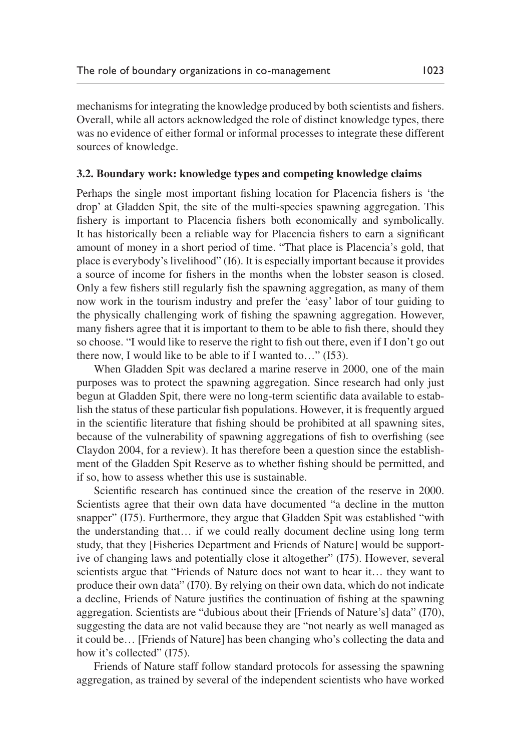mechanisms for integrating the knowledge produced by both scientists and fishers. Overall, while all actors acknowledged the role of distinct knowledge types, there was no evidence of either formal or informal processes to integrate these different sources of knowledge.

#### **3.2. Boundary work: knowledge types and competing knowledge claims**

Perhaps the single most important fishing location for Placencia fishers is 'the drop' at Gladden Spit, the site of the multi-species spawning aggregation. This fishery is important to Placencia fishers both economically and symbolically. It has historically been a reliable way for Placencia fishers to earn a significant amount of money in a short period of time. "That place is Placencia's gold, that place is everybody's livelihood" (I6). It is especially important because it provides a source of income for fishers in the months when the lobster season is closed. Only a few fishers still regularly fish the spawning aggregation, as many of them now work in the tourism industry and prefer the 'easy' labor of tour guiding to the physically challenging work of fishing the spawning aggregation. However, many fishers agree that it is important to them to be able to fish there, should they so choose. "I would like to reserve the right to fish out there, even if I don't go out there now, I would like to be able to if I wanted to…" (I53).

When Gladden Spit was declared a marine reserve in 2000, one of the main purposes was to protect the spawning aggregation. Since research had only just begun at Gladden Spit, there were no long-term scientific data available to establish the status of these particular fish populations. However, it is frequently argued in the scientific literature that fishing should be prohibited at all spawning sites, because of the vulnerability of spawning aggregations of fish to overfishing (see [Claydon 2004](#page-18-12), for a review). It has therefore been a question since the establishment of the Gladden Spit Reserve as to whether fishing should be permitted, and if so, how to assess whether this use is sustainable.

Scientific research has continued since the creation of the reserve in 2000. Scientists agree that their own data have documented "a decline in the mutton snapper" (I75). Furthermore, they argue that Gladden Spit was established "with the understanding that… if we could really document decline using long term study, that they [Fisheries Department and Friends of Nature] would be supportive of changing laws and potentially close it altogether" (I75). However, several scientists argue that "Friends of Nature does not want to hear it… they want to produce their own data" (I70). By relying on their own data, which do not indicate a decline, Friends of Nature justifies the continuation of fishing at the spawning aggregation. Scientists are "dubious about their [Friends of Nature's] data" (I70), suggesting the data are not valid because they are "not nearly as well managed as it could be… [Friends of Nature] has been changing who's collecting the data and how it's collected" (I75).

Friends of Nature staff follow standard protocols for assessing the spawning aggregation, as trained by several of the independent scientists who have worked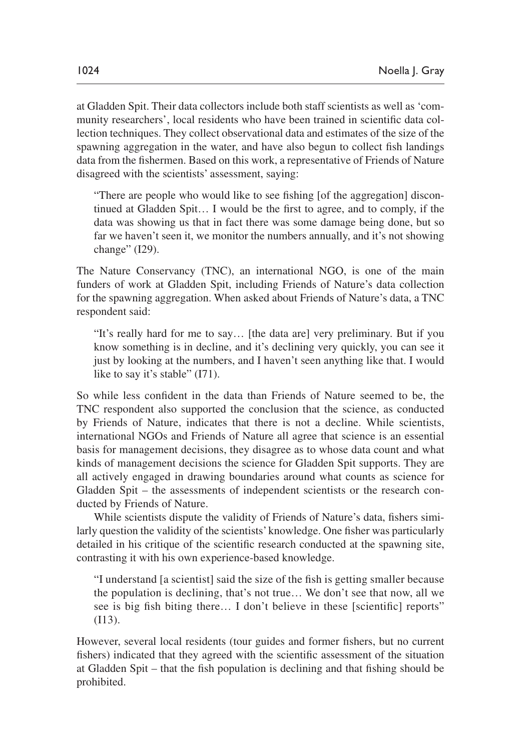at Gladden Spit. Their data collectors include both staff scientists as well as 'community researchers', local residents who have been trained in scientific data collection techniques. They collect observational data and estimates of the size of the spawning aggregation in the water, and have also begun to collect fish landings data from the fishermen. Based on this work, a representative of Friends of Nature disagreed with the scientists' assessment, saying:

"There are people who would like to see fishing [of the aggregation] discontinued at Gladden Spit… I would be the first to agree, and to comply, if the data was showing us that in fact there was some damage being done, but so far we haven't seen it, we monitor the numbers annually, and it's not showing change" (I29).

The Nature Conservancy (TNC), an international NGO, is one of the main funders of work at Gladden Spit, including Friends of Nature's data collection for the spawning aggregation. When asked about Friends of Nature's data, a TNC respondent said:

"It's really hard for me to say… [the data are] very preliminary. But if you know something is in decline, and it's declining very quickly, you can see it just by looking at the numbers, and I haven't seen anything like that. I would like to say it's stable" (I71).

So while less confident in the data than Friends of Nature seemed to be, the TNC respondent also supported the conclusion that the science, as conducted by Friends of Nature, indicates that there is not a decline. While scientists, international NGOs and Friends of Nature all agree that science is an essential basis for management decisions, they disagree as to whose data count and what kinds of management decisions the science for Gladden Spit supports. They are all actively engaged in drawing boundaries around what counts as science for Gladden Spit – the assessments of independent scientists or the research conducted by Friends of Nature.

While scientists dispute the validity of Friends of Nature's data, fishers similarly question the validity of the scientists' knowledge. One fisher was particularly detailed in his critique of the scientific research conducted at the spawning site, contrasting it with his own experience-based knowledge.

"I understand [a scientist] said the size of the fish is getting smaller because the population is declining, that's not true… We don't see that now, all we see is big fish biting there… I don't believe in these [scientific] reports" (I13).

However, several local residents (tour guides and former fishers, but no current fishers) indicated that they agreed with the scientific assessment of the situation at Gladden Spit – that the fish population is declining and that fishing should be prohibited.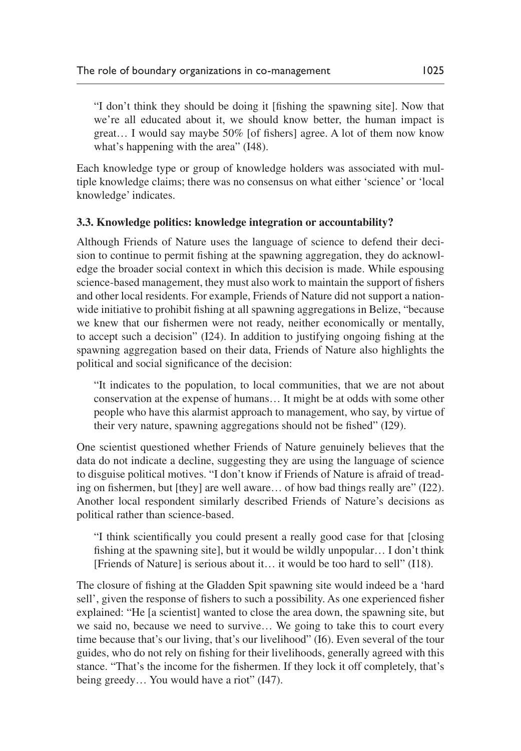"I don't think they should be doing it [fishing the spawning site]. Now that we're all educated about it, we should know better, the human impact is great… I would say maybe 50% [of fishers] agree. A lot of them now know what's happening with the area" (I48).

Each knowledge type or group of knowledge holders was associated with multiple knowledge claims; there was no consensus on what either 'science' or 'local knowledge' indicates.

#### **3.3. Knowledge politics: knowledge integration or accountability?**

Although Friends of Nature uses the language of science to defend their decision to continue to permit fishing at the spawning aggregation, they do acknowledge the broader social context in which this decision is made. While espousing science-based management, they must also work to maintain the support of fishers and other local residents. For example, Friends of Nature did not support a nationwide initiative to prohibit fishing at all spawning aggregations in Belize, "because we knew that our fishermen were not ready, neither economically or mentally, to accept such a decision" (I24). In addition to justifying ongoing fishing at the spawning aggregation based on their data, Friends of Nature also highlights the political and social significance of the decision:

"It indicates to the population, to local communities, that we are not about conservation at the expense of humans… It might be at odds with some other people who have this alarmist approach to management, who say, by virtue of their very nature, spawning aggregations should not be fished" (I29).

One scientist questioned whether Friends of Nature genuinely believes that the data do not indicate a decline, suggesting they are using the language of science to disguise political motives. "I don't know if Friends of Nature is afraid of treading on fishermen, but [they] are well aware… of how bad things really are" (I22). Another local respondent similarly described Friends of Nature's decisions as political rather than science-based.

"I think scientifically you could present a really good case for that [closing fishing at the spawning site], but it would be wildly unpopular… I don't think [Friends of Nature] is serious about it… it would be too hard to sell" (I18).

The closure of fishing at the Gladden Spit spawning site would indeed be a 'hard sell', given the response of fishers to such a possibility. As one experienced fisher explained: "He [a scientist] wanted to close the area down, the spawning site, but we said no, because we need to survive… We going to take this to court every time because that's our living, that's our livelihood" (I6). Even several of the tour guides, who do not rely on fishing for their livelihoods, generally agreed with this stance. "That's the income for the fishermen. If they lock it off completely, that's being greedy... You would have a riot" (I47).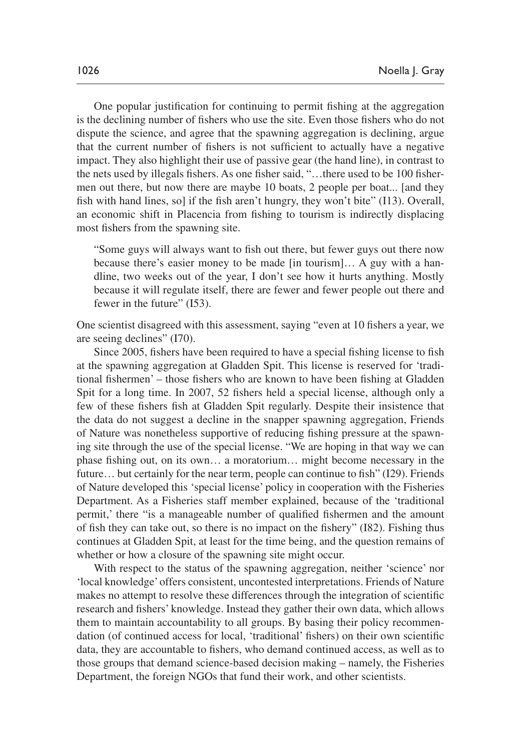One popular justification for continuing to permit fishing at the aggregation is the declining number of fishers who use the site. Even those fishers who do not dispute the science, and agree that the spawning aggregation is declining, argue that the current number of fishers is not sufficient to actually have a negative impact. They also highlight their use of passive gear (the hand line), in contrast to the nets used by illegals fishers. As one fisher said, "…there used to be 100 fishermen out there, but now there are maybe 10 boats, 2 people per boat... [and they fish with hand lines, so] if the fish aren't hungry, they won't bite" (I13). Overall, an economic shift in Placencia from fishing to tourism is indirectly displacing most fishers from the spawning site.

"Some guys will always want to fish out there, but fewer guys out there now because there's easier money to be made [in tourism]… A guy with a handline, two weeks out of the year, I don't see how it hurts anything. Mostly because it will regulate itself, there are fewer and fewer people out there and fewer in the future" (I53).

One scientist disagreed with this assessment, saying "even at 10 fishers a year, we are seeing declines" (I70).

Since 2005, fishers have been required to have a special fishing license to fish at the spawning aggregation at Gladden Spit. This license is reserved for 'traditional fishermen' – those fishers who are known to have been fishing at Gladden Spit for a long time. In 2007, 52 fishers held a special license, although only a few of these fishers fish at Gladden Spit regularly. Despite their insistence that the data do not suggest a decline in the snapper spawning aggregation, Friends of Nature was nonetheless supportive of reducing fishing pressure at the spawning site through the use of the special license. "We are hoping in that way we can phase fishing out, on its own… a moratorium… might become necessary in the future… but certainly for the near term, people can continue to fish" (I29). Friends of Nature developed this 'special license' policy in cooperation with the Fisheries Department. As a Fisheries staff member explained, because of the 'traditional permit,' there "is a manageable number of qualified fishermen and the amount of fish they can take out, so there is no impact on the fishery" (I82). Fishing thus continues at Gladden Spit, at least for the time being, and the question remains of whether or how a closure of the spawning site might occur.

With respect to the status of the spawning aggregation, neither 'science' nor 'local knowledge' offers consistent, uncontested interpretations. Friends of Nature makes no attempt to resolve these differences through the integration of scientific research and fishers' knowledge. Instead they gather their own data, which allows them to maintain accountability to all groups. By basing their policy recommendation (of continued access for local, 'traditional' fishers) on their own scientific data, they are accountable to fishers, who demand continued access, as well as to those groups that demand science-based decision making – namely, the Fisheries Department, the foreign NGOs that fund their work, and other scientists.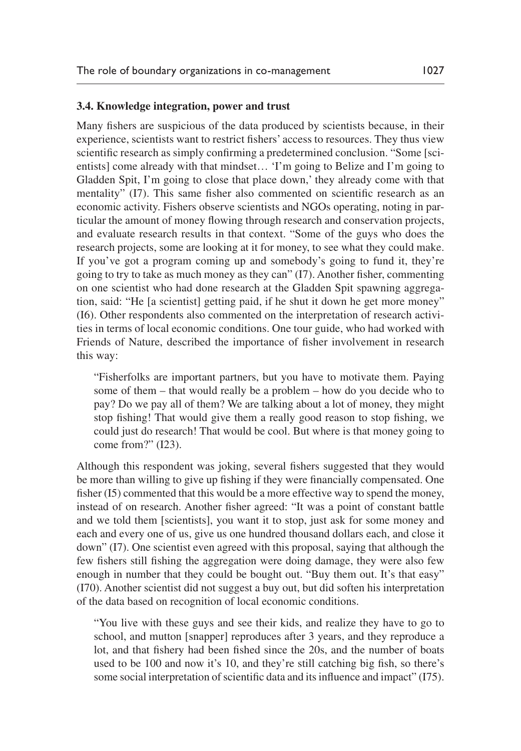#### **3.4. Knowledge integration, power and trust**

Many fishers are suspicious of the data produced by scientists because, in their experience, scientists want to restrict fishers' access to resources. They thus view scientific research as simply confirming a predetermined conclusion. "Some [scientists] come already with that mindset… 'I'm going to Belize and I'm going to Gladden Spit, I'm going to close that place down,' they already come with that mentality" (I7). This same fisher also commented on scientific research as an economic activity. Fishers observe scientists and NGOs operating, noting in particular the amount of money flowing through research and conservation projects, and evaluate research results in that context. "Some of the guys who does the research projects, some are looking at it for money, to see what they could make. If you've got a program coming up and somebody's going to fund it, they're going to try to take as much money as they can" (I7). Another fisher, commenting on one scientist who had done research at the Gladden Spit spawning aggregation, said: "He [a scientist] getting paid, if he shut it down he get more money" (I6). Other respondents also commented on the interpretation of research activities in terms of local economic conditions. One tour guide, who had worked with Friends of Nature, described the importance of fisher involvement in research this way:

"Fisherfolks are important partners, but you have to motivate them. Paying some of them – that would really be a problem – how do you decide who to pay? Do we pay all of them? We are talking about a lot of money, they might stop fishing! That would give them a really good reason to stop fishing, we could just do research! That would be cool. But where is that money going to come from?" (I23).

Although this respondent was joking, several fishers suggested that they would be more than willing to give up fishing if they were financially compensated. One fisher (I5) commented that this would be a more effective way to spend the money, instead of on research. Another fisher agreed: "It was a point of constant battle and we told them [scientists], you want it to stop, just ask for some money and each and every one of us, give us one hundred thousand dollars each, and close it down" (I7). One scientist even agreed with this proposal, saying that although the few fishers still fishing the aggregation were doing damage, they were also few enough in number that they could be bought out. "Buy them out. It's that easy" (I70). Another scientist did not suggest a buy out, but did soften his interpretation of the data based on recognition of local economic conditions.

"You live with these guys and see their kids, and realize they have to go to school, and mutton [snapper] reproduces after 3 years, and they reproduce a lot, and that fishery had been fished since the 20s, and the number of boats used to be 100 and now it's 10, and they're still catching big fish, so there's some social interpretation of scientific data and its influence and impact" (I75).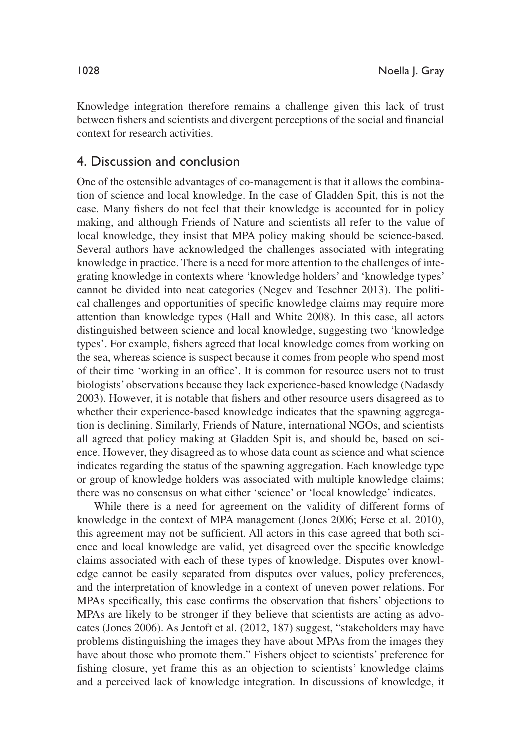Knowledge integration therefore remains a challenge given this lack of trust between fishers and scientists and divergent perceptions of the social and financial context for research activities.

# 4. Discussion and conclusion

One of the ostensible advantages of co-management is that it allows the combination of science and local knowledge. In the case of Gladden Spit, this is not the case. Many fishers do not feel that their knowledge is accounted for in policy making, and although Friends of Nature and scientists all refer to the value of local knowledge, they insist that MPA policy making should be science-based. Several authors have acknowledged the challenges associated with integrating knowledge in practice. There is a need for more attention to the challenges of integrating knowledge in contexts where 'knowledge holders' and 'knowledge types' cannot be divided into neat categories ([Negev and Teschner 2013](#page-20-11)). The political challenges and opportunities of specific knowledge claims may require more attention than knowledge types [\(Hall and White 2008\)](#page-19-8). In this case, all actors distinguished between science and local knowledge, suggesting two 'knowledge types'. For example, fishers agreed that local knowledge comes from working on the sea, whereas science is suspect because it comes from people who spend most of their time 'working in an office'. It is common for resource users not to trust biologists' observations because they lack experience-based knowledge [\(Nadasdy](#page-20-10) [2003\)](#page-20-10). However, it is notable that fishers and other resource users disagreed as to whether their experience-based knowledge indicates that the spawning aggregation is declining. Similarly, Friends of Nature, international NGOs, and scientists all agreed that policy making at Gladden Spit is, and should be, based on science. However, they disagreed as to whose data count as science and what science indicates regarding the status of the spawning aggregation. Each knowledge type or group of knowledge holders was associated with multiple knowledge claims; there was no consensus on what either 'science' or 'local knowledge' indicates.

While there is a need for agreement on the validity of different forms of knowledge in the context of MPA management [\(Jones 2006](#page-19-2); Ferse et al. 2010), this agreement may not be sufficient. All actors in this case agreed that both science and local knowledge are valid, yet disagreed over the specific knowledge claims associated with each of these types of knowledge. Disputes over knowledge cannot be easily separated from disputes over values, policy preferences, and the interpretation of knowledge in a context of uneven power relations. For MPAs specifically, this case confirms the observation that fishers' objections to MPAs are likely to be stronger if they believe that scientists are acting as advocates [\(Jones 2006](#page-19-2)). As [Jentoft et al. \(2012, 187\)](#page-19-1) suggest, "stakeholders may have problems distinguishing the images they have about MPAs from the images they have about those who promote them." Fishers object to scientists' preference for fishing closure, yet frame this as an objection to scientists' knowledge claims and a perceived lack of knowledge integration. In discussions of knowledge, it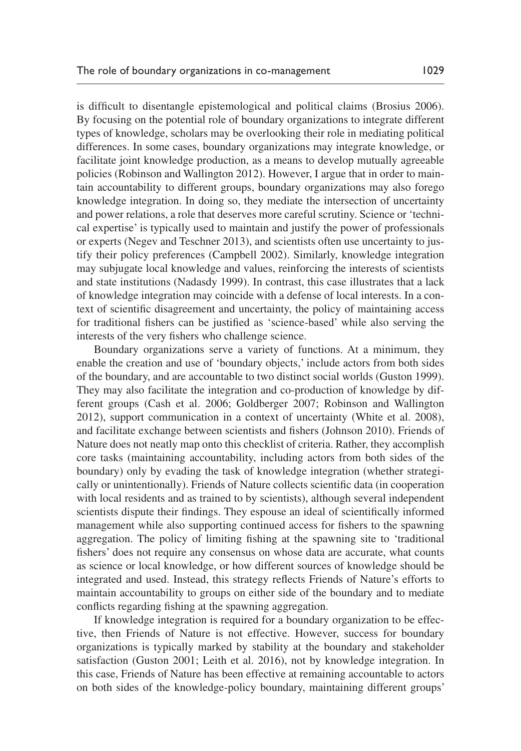is difficult to disentangle epistemological and political claims ([Brosius 2006\)](#page-17-5). By focusing on the potential role of boundary organizations to integrate different types of knowledge, scholars may be overlooking their role in mediating political differences. In some cases, boundary organizations may integrate knowledge, or facilitate joint knowledge production, as a means to develop mutually agreeable policies [\(Robinson and Wallington 2012](#page-20-6)). However, I argue that in order to maintain accountability to different groups, boundary organizations may also forego knowledge integration. In doing so, they mediate the intersection of uncertainty and power relations, a role that deserves more careful scrutiny. Science or 'technical expertise' is typically used to maintain and justify the power of professionals or experts [\(Negev and Teschner 2013](#page-20-11)), and scientists often use uncertainty to justify their policy preferences ([Campbell 2002\)](#page-17-8). Similarly, knowledge integration may subjugate local knowledge and values, reinforcing the interests of scientists and state institutions [\(Nadasdy 1999\)](#page-20-8). In contrast, this case illustrates that a lack of knowledge integration may coincide with a defense of local interests. In a context of scientific disagreement and uncertainty, the policy of maintaining access for traditional fishers can be justified as 'science-based' while also serving the interests of the very fishers who challenge science.

Boundary organizations serve a variety of functions. At a minimum, they enable the creation and use of 'boundary objects,' include actors from both sides of the boundary, and are accountable to two distinct social worlds [\(Guston 1999\)](#page-19-9). They may also facilitate the integration and co-production of knowledge by different groups ([Cash et al. 2006](#page-18-6); [Goldberger 2007](#page-19-10); [Robinson and Wallington](#page-20-6)  [2012\)](#page-20-6), support communication in a context of uncertainty ([White et al. 2008\)](#page-20-4), and facilitate exchange between scientists and fishers [\(Johnson 2010](#page-19-6)). Friends of Nature does not neatly map onto this checklist of criteria. Rather, they accomplish core tasks (maintaining accountability, including actors from both sides of the boundary) only by evading the task of knowledge integration (whether strategically or unintentionally). Friends of Nature collects scientific data (in cooperation with local residents and as trained to by scientists), although several independent scientists dispute their findings. They espouse an ideal of scientifically informed management while also supporting continued access for fishers to the spawning aggregation. The policy of limiting fishing at the spawning site to 'traditional fishers' does not require any consensus on whose data are accurate, what counts as science or local knowledge, or how different sources of knowledge should be integrated and used. Instead, this strategy reflects Friends of Nature's efforts to maintain accountability to groups on either side of the boundary and to mediate conflicts regarding fishing at the spawning aggregation.

If knowledge integration is required for a boundary organization to be effective, then Friends of Nature is not effective. However, success for boundary organizations is typically marked by stability at the boundary and stakeholder satisfaction ([Guston 2001;](#page-19-5) [Leith et al. 2016\)](#page-20-12), not by knowledge integration. In this case, Friends of Nature has been effective at remaining accountable to actors on both sides of the knowledge-policy boundary, maintaining different groups'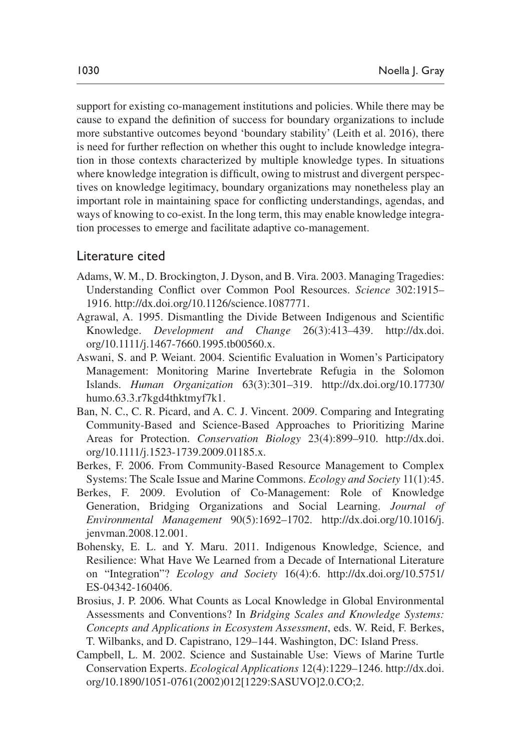support for existing co-management institutions and policies. While there may be cause to expand the definition of success for boundary organizations to include more substantive outcomes beyond 'boundary stability' [\(Leith et al. 2016](#page-20-12)), there is need for further reflection on whether this ought to include knowledge integration in those contexts characterized by multiple knowledge types. In situations where knowledge integration is difficult, owing to mistrust and divergent perspectives on knowledge legitimacy, boundary organizations may nonetheless play an important role in maintaining space for conflicting understandings, agendas, and ways of knowing to co-exist. In the long term, this may enable knowledge integration processes to emerge and facilitate adaptive co-management.

### Literature cited

- <span id="page-17-6"></span>Adams, W. M., D. Brockington, J. Dyson, and B. Vira. 2003. Managing Tragedies: Understanding Conflict over Common Pool Resources. *Science* 302:1915– 1916.<http://dx.doi.org/10.1126/science.1087771>.
- <span id="page-17-7"></span>Agrawal, A. 1995. Dismantling the Divide Between Indigenous and Scientific Knowledge. *Development and Change* 26(3):413–439. [http://dx.doi.](http://dx.doi.org/10.1111/j.1467-7660.1995.tb00560.x) [org/10.1111/j.1467-7660.1995.tb00560.x](http://dx.doi.org/10.1111/j.1467-7660.1995.tb00560.x).
- <span id="page-17-1"></span>Aswani, S. and P. Weiant. 2004. Scientific Evaluation in Women's Participatory Management: Monitoring Marine Invertebrate Refugia in the Solomon Islands. *Human Organization* 63(3):301–319. [http://dx.doi.org/10.17730/](http://dx.doi.org/10.17730/humo.63.3.r7kgd4thktmyf7k1) [humo.63.3.r7kgd4thktmyf7k1](http://dx.doi.org/10.17730/humo.63.3.r7kgd4thktmyf7k1).
- <span id="page-17-2"></span>Ban, N. C., C. R. Picard, and A. C. J. Vincent. 2009. Comparing and Integrating Community-Based and Science-Based Approaches to Prioritizing Marine Areas for Protection. *Conservation Biology* 23(4):899–910. [http://dx.doi.](http://dx.doi.org/10.1111/j.1523-1739.2009.01185.x) [org/10.1111/j.1523-1739.2009.01185.x](http://dx.doi.org/10.1111/j.1523-1739.2009.01185.x).
- <span id="page-17-3"></span>Berkes, F. 2006. From Community-Based Resource Management to Complex Systems: The Scale Issue and Marine Commons. *Ecology and Society* 11(1):45.
- <span id="page-17-4"></span>Berkes, F. 2009. Evolution of Co-Management: Role of Knowledge Generation, Bridging Organizations and Social Learning. *Journal of Environmental Management* 90(5):1692–1702. [http://dx.doi.org/10.1016/j.](http://dx.doi.org/10.1016/j.jenvman.2008.12.001) [jenvman.2008.12.001](http://dx.doi.org/10.1016/j.jenvman.2008.12.001).
- <span id="page-17-0"></span>Bohensky, E. L. and Y. Maru. 2011. Indigenous Knowledge, Science, and Resilience: What Have We Learned from a Decade of International Literature on "Integration"? *Ecology and Society* 16(4):6. [http://dx.doi.org/10.5751/](http://dx.doi.org/10.5751/ES-04342-160406) [ES-04342-160406.](http://dx.doi.org/10.5751/ES-04342-160406)
- <span id="page-17-5"></span>Brosius, J. P. 2006. What Counts as Local Knowledge in Global Environmental Assessments and Conventions? In *Bridging Scales and Knowledge Systems: Concepts and Applications in Ecosystem Assessment*, eds. W. Reid, F. Berkes, T. Wilbanks, and D. Capistrano, 129–144. Washington, DC: Island Press.
- <span id="page-17-8"></span>Campbell, L. M. 2002. Science and Sustainable Use: Views of Marine Turtle Conservation Experts. *Ecological Applications* 12(4):1229–1246. [http://dx.doi.](http://dx.doi.org/10.1890/1051-0761(2002)012[1229:SASUVO]2.0.CO;2) [org/10.1890/1051-0761\(2002\)012\[1229:SASUVO\]2.0.CO;2](http://dx.doi.org/10.1890/1051-0761(2002)012[1229:SASUVO]2.0.CO;2).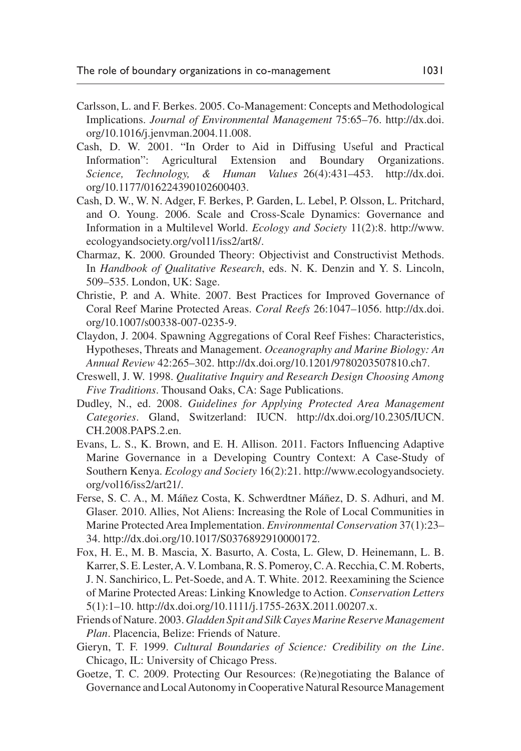- <span id="page-18-5"></span>Carlsson, L. and F. Berkes. 2005. Co-Management: Concepts and Methodological Implications. *Journal of Environmental Management* 75:65–76. [http://dx.doi.](http://dx.doi.org/10.1016/j.jenvman.2004.11.008) [org/10.1016/j.jenvman.2004.11.008](http://dx.doi.org/10.1016/j.jenvman.2004.11.008).
- <span id="page-18-4"></span>Cash, D. W. 2001. "In Order to Aid in Diffusing Useful and Practical Information": Agricultural Extension and Boundary Organizations. *Science, Technology, & Human Values* 26(4):431–453. [http://dx.doi.](http://dx.doi.org/10.1177/016224390102600403) [org/10.1177/016224390102600403.](http://dx.doi.org/10.1177/016224390102600403)
- <span id="page-18-6"></span>Cash, D. W., W. N. Adger, F. Berkes, P. Garden, L. Lebel, P. Olsson, L. Pritchard, and O. Young. 2006. Scale and Cross-Scale Dynamics: Governance and Information in a Multilevel World. *Ecology and Society* 11(2):8. [http://www.](http://www.ecologyandsociety.org/vol11/iss2/art8/) [ecologyandsociety.org/vol11/iss2/art8/.](http://www.ecologyandsociety.org/vol11/iss2/art8/)
- <span id="page-18-11"></span>Charmaz, K. 2000. Grounded Theory: Objectivist and Constructivist Methods. In *Handbook of Qualitative Research*, eds. N. K. Denzin and Y. S. Lincoln, 509–535. London, UK: Sage.
- <span id="page-18-1"></span>Christie, P. and A. White. 2007. Best Practices for Improved Governance of Coral Reef Marine Protected Areas. *Coral Reefs* 26:1047–1056. [http://dx.doi.](http://dx.doi.org/10.1007/s00338-007-0235-9) [org/10.1007/s00338-007-0235-9](http://dx.doi.org/10.1007/s00338-007-0235-9).
- <span id="page-18-12"></span>Claydon, J. 2004. Spawning Aggregations of Coral Reef Fishes: Characteristics, Hypotheses, Threats and Management. *Oceanography and Marine Biology: An Annual Review* 42:265–302.<http://dx.doi.org/10.1201/9780203507810.ch7>.
- <span id="page-18-10"></span>Creswell, J. W. 1998. *Qualitative Inquiry and Research Design Choosing Among Five Traditions*. Thousand Oaks, CA: Sage Publications.
- <span id="page-18-3"></span>Dudley, N., ed. 2008. *Guidelines for Applying Protected Area Management Categories*. Gland, Switzerland: IUCN. [http://dx.doi.org/10.2305/IUCN.](http://dx.doi.org/10.2305/IUCN.CH.2008.PAPS.2.en) [CH.2008.PAPS.2.en](http://dx.doi.org/10.2305/IUCN.CH.2008.PAPS.2.en).
- <span id="page-18-2"></span>Evans, L. S., K. Brown, and E. H. Allison. 2011. Factors Influencing Adaptive Marine Governance in a Developing Country Context: A Case-Study of Southern Kenya. *Ecology and Society* 16(2):21. [http://www.ecologyandsociety.](http://www.ecologyandsociety.org/vol16/iss2/art21/) [org/vol16/iss2/art21/](http://www.ecologyandsociety.org/vol16/iss2/art21/).
- Ferse, S. C. A., M. Máñez Costa, K. Schwerdtner Máñez, D. S. Adhuri, and M. Glaser. 2010. Allies, Not Aliens: Increasing the Role of Local Communities in Marine Protected Area Implementation. *Environmental Conservation* 37(1):23– 34. <http://dx.doi.org/10.1017/S0376892910000172>.
- <span id="page-18-0"></span>Fox, H. E., M. B. Mascia, X. Basurto, A. Costa, L. Glew, D. Heinemann, L. B. Karrer, S. E. Lester, A. V. Lombana, R. S. Pomeroy, C. A. Recchia, C. M. Roberts, J. N. Sanchirico, L. Pet-Soede, and A. T. White. 2012. Reexamining the Science of Marine Protected Areas: Linking Knowledge to Action. *Conservation Letters* 5(1):1–10. [http://dx.doi.org/10.1111/j.1755-263X.2011.00207.x.](http://dx.doi.org/10.1111/j.1755-263X.2011.00207.x)
- <span id="page-18-8"></span>Friends of Nature. 2003. *Gladden Spit and Silk Cayes Marine Reserve Management Plan*. Placencia, Belize: Friends of Nature.
- <span id="page-18-7"></span>Gieryn, T. F. 1999. *Cultural Boundaries of Science: Credibility on the Line*. Chicago, IL: University of Chicago Press.
- <span id="page-18-9"></span>Goetze, T. C. 2009. Protecting Our Resources: (Re)negotiating the Balance of Governance and Local Autonomy in Cooperative Natural Resource Management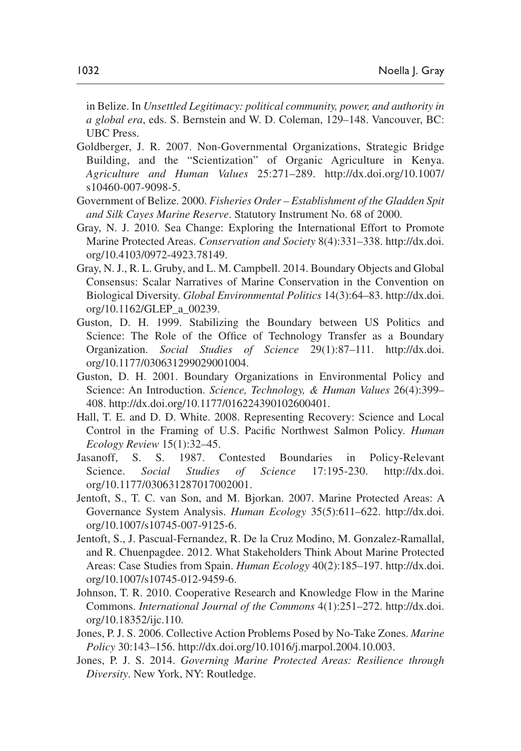in Belize. In *Unsettled Legitimacy: political community, power, and authority in a global era*, eds. S. Bernstein and W. D. Coleman, 129–148. Vancouver, BC: UBC Press.

- <span id="page-19-10"></span>Goldberger, J. R. 2007. Non-Governmental Organizations, Strategic Bridge Building, and the "Scientization" of Organic Agriculture in Kenya. *Agriculture and Human Values* 25:271–289. [http://dx.doi.org/10.1007/](http://dx.doi.org/10.1007/s10460-007-9098-5) [s10460-007-9098-5](http://dx.doi.org/10.1007/s10460-007-9098-5).
- <span id="page-19-11"></span>Government of Belize. 2000. *Fisheries Order – Establishment of the Gladden Spit and Silk Cayes Marine Reserve*. Statutory Instrument No. 68 of 2000.
- <span id="page-19-0"></span>Gray, N. J. 2010. Sea Change: Exploring the International Effort to Promote Marine Protected Areas. *Conservation and Society* 8(4):331–338. [http://dx.doi.](http://dx.doi.org/10.4103/0972-4923.78149) [org/10.4103/0972-4923.78149](http://dx.doi.org/10.4103/0972-4923.78149).
- <span id="page-19-12"></span>Gray, N. J., R. L. Gruby, and L. M. Campbell. 2014. Boundary Objects and Global Consensus: Scalar Narratives of Marine Conservation in the Convention on Biological Diversity. *Global Environmental Politics* 14(3):64–83. [http://dx.doi.](http://dx.doi.org/10.1162/GLEP_a_00239) [org/10.1162/GLEP\\_a\\_00239.](http://dx.doi.org/10.1162/GLEP_a_00239)
- <span id="page-19-9"></span>Guston, D. H. 1999. Stabilizing the Boundary between US Politics and Science: The Role of the Office of Technology Transfer as a Boundary Organization. *Social Studies of Science* 29(1):87–111. [http://dx.doi.](http://dx.doi.org/10.1177/030631299029001004) [org/10.1177/030631299029001004.](http://dx.doi.org/10.1177/030631299029001004)
- <span id="page-19-5"></span>Guston, D. H. 2001. Boundary Organizations in Environmental Policy and Science: An Introduction. *Science, Technology, & Human Values* 26(4):399– 408. <http://dx.doi.org/10.1177/016224390102600401>.
- <span id="page-19-8"></span>Hall, T. E. and D. D. White. 2008. Representing Recovery: Science and Local Control in the Framing of U.S. Pacific Northwest Salmon Policy. *Human Ecology Review* 15(1):32–45.
- <span id="page-19-7"></span>Jasanoff, S. S. 1987. Contested Boundaries in Policy-Relevant Science. *Social Studies of Science* 17:195-230. [http://dx.doi.](http://dx.doi.org/10.1177/030631287017002001) [org/10.1177/030631287017002001.](http://dx.doi.org/10.1177/030631287017002001)
- <span id="page-19-4"></span>Jentoft, S., T. C. van Son, and M. Bjorkan. 2007. Marine Protected Areas: A Governance System Analysis. *Human Ecology* 35(5):611–622. [http://dx.doi.](http://dx.doi.org/10.1007/s10745-007-9125-6) [org/10.1007/s10745-007-9125-6](http://dx.doi.org/10.1007/s10745-007-9125-6).
- <span id="page-19-1"></span>Jentoft, S., J. Pascual-Fernandez, R. De la Cruz Modino, M. Gonzalez-Ramallal, and R. Chuenpagdee. 2012. What Stakeholders Think About Marine Protected Areas: Case Studies from Spain. *Human Ecology* 40(2):185–197. [http://dx.doi.](http://dx.doi.org/10.1007/s10745-012-9459-6) [org/10.1007/s10745-012-9459-6](http://dx.doi.org/10.1007/s10745-012-9459-6).
- <span id="page-19-6"></span>Johnson, T. R. 2010. Cooperative Research and Knowledge Flow in the Marine Commons. *International Journal of the Commons* 4(1):251–272. [http://dx.doi.](http://dx.doi.org/10.18352/ijc.110) [org/10.18352/ijc.110](http://dx.doi.org/10.18352/ijc.110).
- <span id="page-19-2"></span>Jones, P. J. S. 2006. Collective Action Problems Posed by No-Take Zones. *Marine Policy* 30:143–156. <http://dx.doi.org/10.1016/j.marpol.2004.10.003>.
- <span id="page-19-3"></span>Jones, P. J. S. 2014. *Governing Marine Protected Areas: Resilience through Diversity*. New York, NY: Routledge.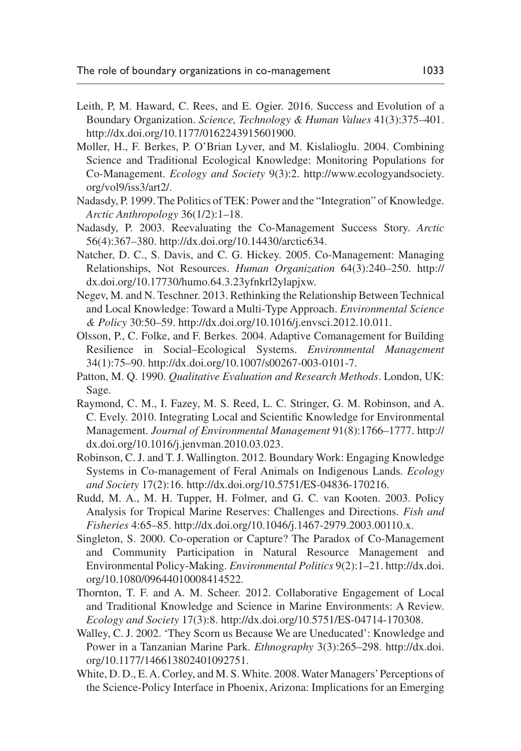- <span id="page-20-12"></span>Leith, P, M. Haward, C. Rees, and E. Ogier. 2016. Success and Evolution of a Boundary Organization. *Science, Technology & Human Values* 41(3):375–401. [http://dx.doi.org/10.1177/0162243915601900.](http://dx.doi.org/10.1177/0162243915601900)
- Moller, H., F. Berkes, P. O'Brian Lyver, and M. Kislalioglu. 2004. Combining Science and Traditional Ecological Knowledge: Monitoring Populations for Co-Management. *Ecology and Society* 9(3):2. [http://www.ecologyandsociety.](http://www.ecologyandsociety.org/vol9/iss3/art2/) [org/vol9/iss3/art2/.](http://www.ecologyandsociety.org/vol9/iss3/art2/)
- <span id="page-20-8"></span>Nadasdy, P. 1999. The Politics of TEK: Power and the "Integration" of Knowledge. *Arctic Anthropology* 36(1/2):1–18.
- <span id="page-20-10"></span>Nadasdy, P. 2003. Reevaluating the Co-Management Success Story. *Arctic* 56(4):367–380. [http://dx.doi.org/10.14430/arctic634.](http://dx.doi.org/10.14430/arctic634)
- <span id="page-20-9"></span>Natcher, D. C., S. Davis, and C. G. Hickey. 2005. Co-Management: Managing Relationships, Not Resources. *Human Organization* 64(3):240–250. [http://](http://dx.doi.org/10.17730/humo.64.3.23yfnkrl2ylapjxw) [dx.doi.org/10.17730/humo.64.3.23yfnkrl2ylapjxw](http://dx.doi.org/10.17730/humo.64.3.23yfnkrl2ylapjxw).
- <span id="page-20-11"></span>Negev, M. and N. Teschner. 2013. Rethinking the Relationship Between Technical and Local Knowledge: Toward a Multi-Type Approach. *Environmental Science & Policy* 30:50–59.<http://dx.doi.org/10.1016/j.envsci.2012.10.011>.
- <span id="page-20-5"></span>Olsson, P., C. Folke, and F. Berkes. 2004. Adaptive Comanagement for Building Resilience in Social–Ecological Systems. *Environmental Management* 34(1):75–90. [http://dx.doi.org/10.1007/s00267-003-0101-7.](http://dx.doi.org/10.1007/s00267-003-0101-7)
- <span id="page-20-13"></span>Patton, M. Q. 1990. *Qualitative Evaluation and Research Methods*. London, UK: Sage.
- <span id="page-20-2"></span>Raymond, C. M., I. Fazey, M. S. Reed, L. C. Stringer, G. M. Robinson, and A. C. Evely. 2010. Integrating Local and Scientific Knowledge for Environmental Management. *Journal of Environmental Management* 91(8):1766–1777. [http://](http://dx.doi.org/10.1016/j.jenvman.2010.03.023) [dx.doi.org/10.1016/j.jenvman.2010.03.023.](http://dx.doi.org/10.1016/j.jenvman.2010.03.023)
- <span id="page-20-6"></span>Robinson, C. J. and T. J. Wallington. 2012. Boundary Work: Engaging Knowledge Systems in Co-management of Feral Animals on Indigenous Lands. *Ecology and Society* 17(2):16. [http://dx.doi.org/10.5751/ES-04836-170216.](http://dx.doi.org/10.5751/ES-04836-170216)
- <span id="page-20-0"></span>Rudd, M. A., M. H. Tupper, H. Folmer, and G. C. van Kooten. 2003. Policy Analysis for Tropical Marine Reserves: Challenges and Directions. *Fish and Fisheries* 4:65–85.<http://dx.doi.org/10.1046/j.1467-2979.2003.00110.x>.
- <span id="page-20-1"></span>Singleton, S. 2000. Co-operation or Capture? The Paradox of Co-Management and Community Participation in Natural Resource Management and Environmental Policy-Making. *Environmental Politics* 9(2):1–21. [http://dx.doi.](http://dx.doi.org/10.1080/09644010008414522) [org/10.1080/09644010008414522.](http://dx.doi.org/10.1080/09644010008414522)
- <span id="page-20-7"></span>Thornton, T. F. and A. M. Scheer. 2012. Collaborative Engagement of Local and Traditional Knowledge and Science in Marine Environments: A Review. *Ecology and Society* 17(3):8.<http://dx.doi.org/10.5751/ES-04714-170308>.
- <span id="page-20-3"></span>Walley, C. J. 2002. 'They Scorn us Because We are Uneducated': Knowledge and Power in a Tanzanian Marine Park. *Ethnography* 3(3):265–298. [http://dx.doi.](http://dx.doi.org/10.1177/146613802401092751) [org/10.1177/146613802401092751.](http://dx.doi.org/10.1177/146613802401092751)
- <span id="page-20-4"></span>White, D. D., E. A. Corley, and M. S. White. 2008. Water Managers' Perceptions of the Science-Policy Interface in Phoenix, Arizona: Implications for an Emerging